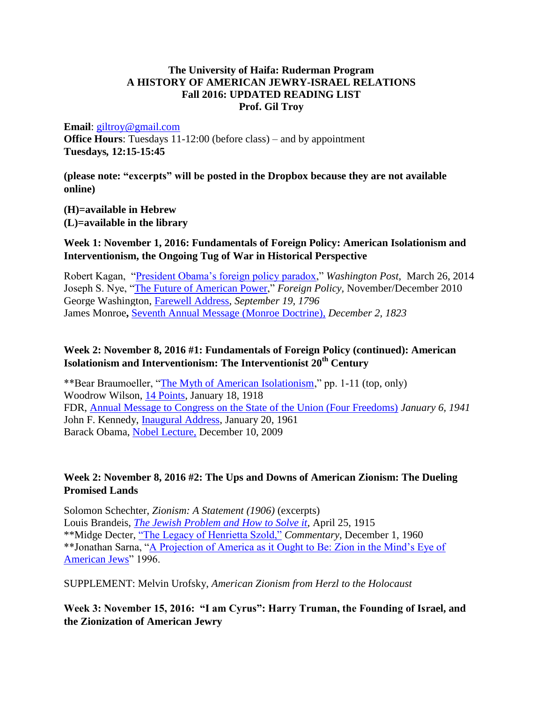#### **The University of Haifa: Ruderman Program A HISTORY OF AMERICAN JEWRY-ISRAEL RELATIONS Fall 2016: UPDATED READING LIST Prof. Gil Troy**

#### **Email**: [giltroy@gmail.com](mailto:giltroy@gmail.com)

**Office Hours**: Tuesdays 11-12:00 (before class) – and by appointment **Tuesdays***,* **12:15-15:45** 

**(please note: "excerpts" will be posted in the Dropbox because they are not available online)**

**(H)=available in Hebrew (L)=available in the library**

### **Week 1: November 1, 2016: Fundamentals of Foreign Policy: American Isolationism and Interventionism, the Ongoing Tug of War in Historical Perspective**

Robert Kagan, ["President Obama's foreign policy paradox,](file:///G:/Users/user1/Downloads/President%20Obama%25E2%2580%2599s%20foreign%20policy%20paradoxBy%20Robert%20Kagan,%20Washington%20Post,%20%20March%2026)" *Washington Post*, March 26, 2014 Joseph S. Nye, ["The Future of American Power,](https://www.foreignaffairs.com/articles/2010-11-01/future-american-power)" *Foreign Policy,* November/December 2010 George Washington, [Farewell Address,](http://www.presidency.ucsb.edu/ws/index.php?pid=65539&st=&st1=) *September 19, 1796*  James Monroe**,** [Seventh Annual Message \(Monroe Doctrine\),](http://www.presidency.ucsb.edu/ws/index.php?pid=29465&st=neutrality&st1=) *December 2, 1823*

#### **Week 2: November 8, 2016 #1: Fundamentals of Foreign Policy (continued): American Isolationism and Interventionism: The Interventionist 20th Century**

\*\*Bear Braumoeller, ["The Myth of American Isolationism,](http://projects.iq.harvard.edu/files/wcfia/files/579_mythofusisol.pdf)" pp. 1-11 (top, only) Woodrow Wilson, [14 Points,](http://www.firstworldwar.com/source/fourteenpoints.htm) January 18, 1918 FDR, [Annual Message to Congress on the State of the Union \(Four Freedoms\)](http://www.presidency.ucsb.edu/ws/index.php?pid=16092&st=&st1=) *January 6, 1941* John F. Kennedy, [Inaugural Address,](https://www.jfklibrary.org/Research/Research-Aids/Ready-Reference/JFK-Quotations/Inaugural-Address.aspx) January 20, 1961 Barack Obama, [Nobel Lecture,](https://www.nobelprize.org/nobel_prizes/peace/laureates/2009/obama-lecture_en.html) December 10, 2009

# **Week 2: November 8, 2016 #2: The Ups and Downs of American Zionism: The Dueling Promised Lands**

Solomon Schechter, *Zionism: A Statement (1906)* (excerpts) Louis Brandeis, *[The Jewish Problem and How to Solve it](https://louisville.edu/law/library/special-collections/the-louis-d.-brandeis-collection/the-jewish-problem-how-to-solve-it-by-louis-d.-brandeis)*, April 25, 1915 \*\*Midge Decter, ["The Legacy of Henrietta Szold,"](https://www.commentarymagazine.com/articles/the-legacy-of-henrietta-szold/) *Commentary*, December 1, 1960 \*\*Jonathan Sarna, ["A Projection of America as it Ought to Be: Zion in the Mind's Eye of](http://www.bjpa.org/Publications/details.cfm?PublicationID=3627)  [American Jews"](http://www.bjpa.org/Publications/details.cfm?PublicationID=3627) 1996.

SUPPLEMENT: Melvin Urofsky, *American Zionism from Herzl to the Holocaust*

# **Week 3: November 15, 2016: "I am Cyrus": Harry Truman, the Founding of Israel, and the Zionization of American Jewry**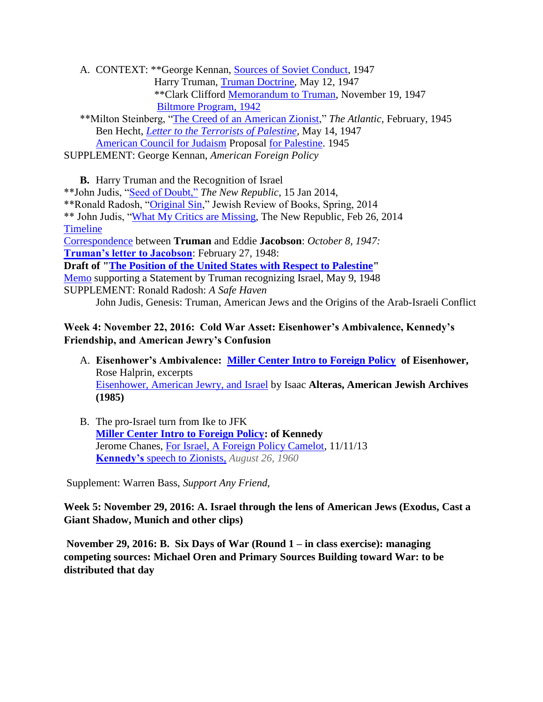A. CONTEXT: \*\*George Kennan, [Sources of Soviet Conduct,](http://www.historyguide.org/europe/kennan.html) 1947 Harry Truman, [Truman Doctrine,](http://www.americanrhetoric.com/speeches/harrystrumantrumandoctrine.html) May 12, 1947 \*\*Clark Clifford [Memorandum to Truman,](http://www.trumanlibrary.org/whistlestop/study_collections/1948campaign/large/docs/documents/pdfs/1-1.pdf) November 19, 1947 [Biltmore Program, 1942](http://www.jewishvirtuallibrary.org/jsource/History/biltmore.html)

 \*\*Milton Steinberg, ["The Creed of an American Zionist,](http://www.theatlantic.com/past/docs/unbound/bookauth/zionism/steinbrg.htm)" *The Atlantic,* February, 1945 Ben Hecht, *[Letter to the Terrorists of Palestine,](http://www.politicsforum.org/forum/viewtopic.php?t=74300)* May 14, 1947 [American Council for Judaism](http://www.acjna.org/acjna/about.aspx) Proposal [for Palestine.](http://www.zionism-israel.com/hdoc/ACJ_Plan_For_Palestine_1945.htm) 1945

SUPPLEMENT: George Kennan, *American Foreign Policy*

**B.** Harry Truman and the Recognition of Israel \*\*John Judis, ["Seed of Doubt,"](http://www.newrepublic.com/article/116215/was-harry-truman-zionist) *The New Republic*, 15 Jan 2014, \*\*Ronald Radosh, ["Original Sin,](http://jewishreviewofbooks.com/articles/730/original-sins/)" Jewish Review of Books, Spring, 2014 \*\* John Judis, ["What My Critics are Missing,](https://newrepublic.com/article/116763/john-b-judis-israel-book-what-my-critics-are-missing) The New Republic, Feb 26, 2014 [Timeline](http://www.trumanlibrary.org/israel/palestin.htm) [Correspondence](http://www.trumanlibrary.org/whistlestop/study_collections/israel/large/documents/newPDF/2-19.pdf#zoom=100) between **Truman** and Eddie **Jacobson**: *October 8, 1947:*  **[Truman's letter to Jacobson](http://www.trumanlibrary.org/whistlestop/study_collections/israel/large/documents/newPDF/42.pdf#zoom=100)**: February 27, 1948: **Draft of ["The Position of the United States with Respect to Palestine"](http://www.trumanlibrary.org/whistlestop/study_collections/israel/large/documents/newPDF/3-12.pdf#zoom=100)**  [Memo](http://www.trumanlibrary.org/whistlestop/study_collections/israel/large/documents/newPDF/3-14.pdf#zoom=100) supporting a Statement by Truman recognizing Israel, May 9, 1948 SUPPLEMENT: Ronald Radosh: *A Safe Haven* John Judis, Genesis: Truman, American Jews and the Origins of the Arab-Israeli Conflict

# **Week 4: November 22, 2016: Cold War Asset: Eisenhower's Ambivalence, Kennedy's Friendship, and American Jewry's Confusion**

- A. **Eisenhower's Ambivalence: [Miller Center Intro to Foreign Policy](http://millercenter.org/president) of Eisenhower,**  Rose Halprin, excerpts [Eisenhower, American Jewry, and Israel](http://americanjewisharchives.org/publications/journal/PDF/1985_37_02_00_alteras.pdf) by Isaac **Alteras, American Jewish Archives (1985)**
- B. The pro-Israel turn from Ike to JFK **[Miller Center Intro to Foreign Policy:](http://millercenter.org/president) of Kennedy** Jerome Chanes, [For Israel, A Foreign Policy Camelot,](http://www.thejewishweek.com/news/national-news/israel-foreign-policy-camelot) 11/11/13 **Kennedy's** [speech to Zionists,](http://www.presidency.ucsb.edu/ws/?pid=74217) *August 26, 1960*

Supplement: Warren Bass, *Support Any Friend*,

**Week 5: November 29, 2016: A. Israel through the lens of American Jews (Exodus, Cast a Giant Shadow, Munich and other clips)**

**November 29, 2016: B. Six Days of War (Round 1 – in class exercise): managing competing sources: Michael Oren and Primary Sources Building toward War: to be distributed that day**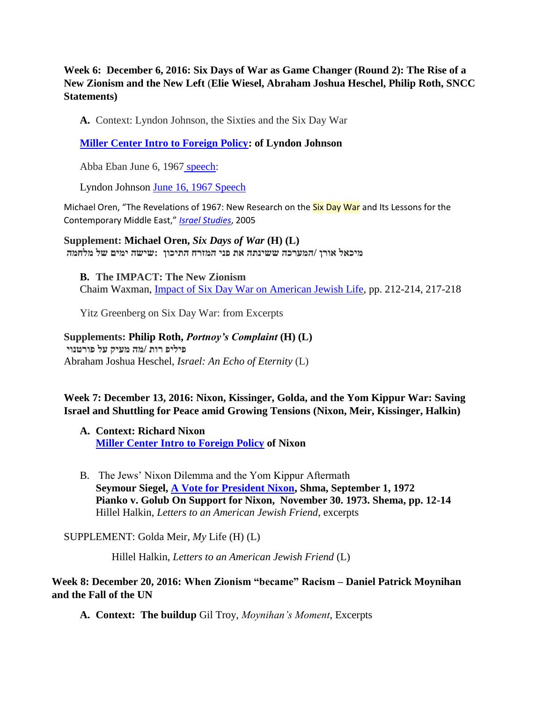**Week 6: December 6, 2016: Six Days of War as Game Changer (Round 2): The Rise of a New Zionism and the New Left** (**Elie Wiesel, Abraham Joshua Heschel, Philip Roth, SNCC Statements)**

**A.** Context: Lyndon Johnson, the Sixties and the Six Day War

**[Miller Center Intro to Foreign Policy:](http://millercenter.org/president) of Lyndon Johnson**

Abba Eban June 6, 1967 [speech:](http://ravenshawk.blogspot.co.il/2011/04/abba-ebans-speech-six-day-war-1967.html)

Lyndon Johnson [June 16, 1967 Speech](http://www.jewishvirtuallibrary.org/jsource/US-Israel/lbjpeace.html)

Michael Oren, "The Revelations of 1967: New Research on the Six Day War and Its Lessons for the Contemporary Middle East," *[Israel Studies](http://primo-icc-prod.hosted.exlibrisgroup.com/primo_library/libweb/action/display.do?frbrVersion=6&tabs=detailsTab&ct=display&fn=search&doc=TN_museS1527201x05200018&indx=3&recIds=TN_museS1527201x05200018&recIdxs=2&elementId=2&renderMode=poppedOut&displayMode=full&frbrVersion=6&frbg=&vl(606196044UI0)=any&&dscnt=0&scp.scps=primo_central_multiple_fe&vl(1UIStartWith0)=contains&tb=t&vid=IDC&mode=Basic&srt=rank&tab=idc_tab_articles&dum=true&vl(freeText0)=six%20day%20war%20michael%20oren&dstmp=1479031326282)*, 2005

**Supplement: Michael Oren,** *Six Days of War* **(H) (L) מיכאל אורן /המערכה ששינתה את פני המזרח התיכון :שישה ימים של מלחמה** 

**B. The IMPACT: The New Zionism** Chaim Waxman, [Impact of Six Day War on American Jewish Life,](http://www.bjpa.org/Publications/downloadFile.cfm?FileID=3007) pp. 212-214, 217-218

Yitz Greenberg on Six Day War: from Excerpts

#### **Supplements: Philip Roth,** *Portnoy's Complaint* **(H) (L)**

**פיליפ רות /מה מעיק על פורטנוי**  Abraham Joshua Heschel, *Israel: An Echo of Eternity* (L)

**Week 7: December 13, 2016: Nixon, Kissinger, Golda, and the Yom Kippur War: Saving Israel and Shuttling for Peace amid Growing Tensions (Nixon, Meir, Kissinger, Halkin)**

- **A. Context: Richard Nixon [Miller Center Intro to Foreign Policy](http://millercenter.org/president) of Nixon**
- B. The Jews' Nixon Dilemma and the Yom Kippur Aftermath **Seymour Siegel, [A Vote for President Nixon,](http://www.bjpa.org/Publications/downloadFile.cfm?FileID=9014) Shma, September 1, 1972 Pianko v. Golub On Support for Nixon, November 30. 1973. Shema, pp. 12-14** Hillel Halkin, *Letters to an American Jewish Friend*, excerpts

SUPPLEMENT: Golda Meir, *My* Life (H) (L)

Hillel Halkin, *Letters to an American Jewish Friend* (L)

**Week 8: December 20, 2016: When Zionism "became" Racism – Daniel Patrick Moynihan and the Fall of the UN**

**A. Context: The buildup** Gil Troy, *Moynihan's Moment*, Excerpts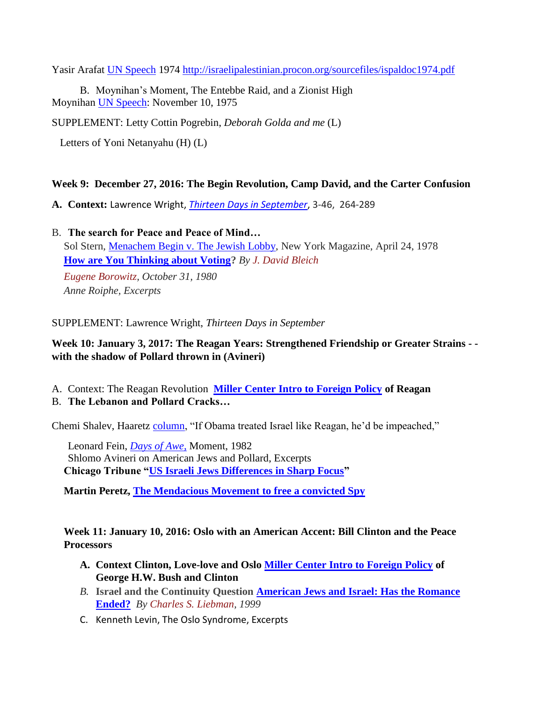Yasir Arafat [UN Speech](http://israelipalestinian.procon.org/sourcefiles/ispaldoc1974.pdf) 1974<http://israelipalestinian.procon.org/sourcefiles/ispaldoc1974.pdf>

B. Moynihan's Moment, The Entebbe Raid, and a Zionist High Moynihan [UN Speech:](http://blog.unwatch.org/index.php/2012/12/30/moynihans-moment-the-historic-1975-u-n-speech-in-response-to-zionism-is-racism/) November 10, 1975

SUPPLEMENT: Letty Cottin Pogrebin, *Deborah Golda and me* (L)

Letters of Yoni Netanyahu (H) (L)

#### **Week 9: December 27, 2016: The Begin Revolution, Camp David, and the Carter Confusion**

- **A. Context:** Lawrence Wright, *[Thirteen Days in September](http://primo-icc-prod.hosted.exlibrisgroup.com/primo_library/libweb/action/display.do?tabs=detailsTab&ct=display&fn=search&doc=idc_aleph_data000156271&indx=1&recIds=idc_aleph_data000156271&recIdxs=0&elementId=0&renderMode=poppedOut&displayMode=full&frbrVersion=&frbg=&vl(606196044UI0)=any&vl(520152441UI1)=all_items&&dscnt=0&vl(1UIStartWith0)=contains&scp.scps=scope%3A%28%22IDC%22%29&tb=t&vid=IDC&mode=Basic&srt=rank&tab=idc_local&dum=true&vl(freeText0)=thirteen%20days%20in%20september&dstmp=1479036335068)*, 3-46, 264-289
- B. **The search for Peace and Peace of Mind…** Sol Stern, [Menachem Begin v. The Jewish Lobby,](https://books.google.co.il/books?id=5tICAAAAMBAJ&pg=PA60&lpg=PA60&dq=schindler+menachem+begin&source=bl&ots=aO6IAFLRsk&sig=4r13uyKGHn-3tzlRndb4ZfLHi-I&hl=en&sa=X&ved=0ahUKEwjW7eXny6TQAhVoD8AKHXRJAisQ6AEIPjAE#v=onepage&q=schindler%20menachem%20begin&f=false) New York Magazine, April 24, 1978 **[How are You Thinking about Voting?](http://www.bjpa.org/Publications/downloadFile.cfm?FileID=7350)** *By J. David [Bleich](http://www.bjpa.org/Publications/results.cfm?Authored=J.-David-Bleich&AuthorID=4788)*

*Eugene [Borowitz,](http://www.bjpa.org/Publications/results.cfm?Publisher=Eugene%20Borowitz) October 31, 1980 Anne Roiphe, Excerpts*

SUPPLEMENT: Lawrence Wright, *Thirteen Days in September*

# **Week 10: January 3, 2017: The Reagan Years: Strengthened Friendship or Greater Strains - with the shadow of Pollard thrown in (Avineri)**

- A. Context: The Reagan Revolution **[Miller Center Intro to Foreign Policy](http://millercenter.org/president) of Reagan**
- B. **The Lebanon and Pollard Cracks…**

Chemi Shalev, Haaretz [column,](http://www.haaretz.com/blogs/west-of-eden/if-obama-treated-israel-like-reagan-did-he-d-be-impeached-1.400542) "If Obama treated Israel like Reagan, he'd be impeached,"

Leonard Fein, *[Days of Awe](http://www.bjpa.org/Publications/details.cfm?PublicationID=14941)*, Moment, 1982 Shlomo Avineri on American Jews and Pollard, Excerpts **Chicago Tribune ["US Israeli Jews Differences in Sharp Focus"](http://articles.chicagotribune.com/1987-04-12/news/8701270761_1_pollard-affair-american-jews-israeli)** 

**Martin Peretz, [The Mendacious Movement to free a convicted Spy](http://www.wsj.com/articles/SB10001424052702303734204577466304136240464?mg=id-wsj)**

**Week 11: January 10, 2016: Oslo with an American Accent: Bill Clinton and the Peace Processors** 

- **A. Context Clinton, Love-love and Oslo [Miller Center Intro to Foreign Policy](http://millercenter.org/president) of George H.W. Bush and Clinton**
- *B.* **Israel and the Continuity Question [American Jews and Israel: Has the Romance](file:///G:/Dropbox/Haifa%20University%20Teaching%20File/American%20Jews%20and%20Israel:%20Has%20the%20Romance%20Ended%3f)  [Ended?](file:///G:/Dropbox/Haifa%20University%20Teaching%20File/American%20Jews%20and%20Israel:%20Has%20the%20Romance%20Ended%3f)** *By Charles S. [Liebman,](http://www.bjpa.org/Publications/results.cfm?Authored=Charles-Liebman&AuthorID=148) 1999*
- C. Kenneth Levin, The Oslo Syndrome, Excerpts